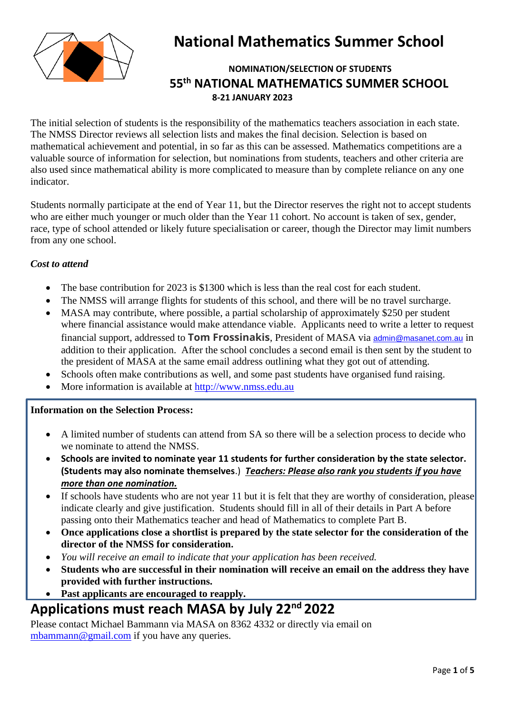

# **National Mathematics Summer School**

## **NOMINATION/SELECTION OF STUDENTS 55 th NATIONAL MATHEMATICS SUMMER SCHOOL 8-21 JANUARY 2023**

The initial selection of students is the responsibility of the mathematics teachers association in each state. The NMSS Director reviews all selection lists and makes the final decision. Selection is based on mathematical achievement and potential, in so far as this can be assessed. Mathematics competitions are a valuable source of information for selection, but nominations from students, teachers and other criteria are also used since mathematical ability is more complicated to measure than by complete reliance on any one indicator.

Students normally participate at the end of Year 11, but the Director reserves the right not to accept students who are either much younger or much older than the Year 11 cohort. No account is taken of sex, gender, race, type of school attended or likely future specialisation or career, though the Director may limit numbers from any one school.

## *Cost to attend*

- The base contribution for 2023 is \$1300 which is less than the real cost for each student.
- The NMSS will arrange flights for students of this school, and there will be no travel surcharge.
- MASA may contribute, where possible, a partial scholarship of approximately \$250 per student where financial assistance would make attendance viable. Applicants need to write a letter to request financial support, addressed to **Tom Frossinakis**, President of MASA via [admin@masanet.com.au](mailto:admin@masanet.com.au) in addition to their application. After the school concludes a second email is then sent by the student to the president of MASA at the same email address outlining what they got out of attending.
- Schools often make contributions as well, and some past students have organised fund raising.
- More information is available at [http://www.nmss.edu.au](http://www.nmss.edu.au/)

## **Information on the Selection Process:**

- A limited number of students can attend from SA so there will be a selection process to decide who we nominate to attend the NMSS.
- **Schools are invited to nominate year 11 students for further consideration by the state selector. (Students may also nominate themselves**.) *Teachers: Please also rank you students if you have more than one nomination.*
- If schools have students who are not year 11 but it is felt that they are worthy of consideration, please indicate clearly and give justification. Students should fill in all of their details in Part A before passing onto their Mathematics teacher and head of Mathematics to complete Part B.
- **Once applications close a shortlist is prepared by the state selector for the consideration of the director of the NMSS for consideration.**
- *You will receive an email to indicate that your application has been received.*
- **Students who are successful in their nomination will receive an email on the address they have provided with further instructions.**
- **Past applicants are encouraged to reapply.**

# **Applications must reach MASA by July 22 nd 2022**

Please contact Michael Bammann via MASA on 8362 4332 or directly via email on [mbammann@gmail.com](mailto:mbammann@gmail.com) if you have any queries.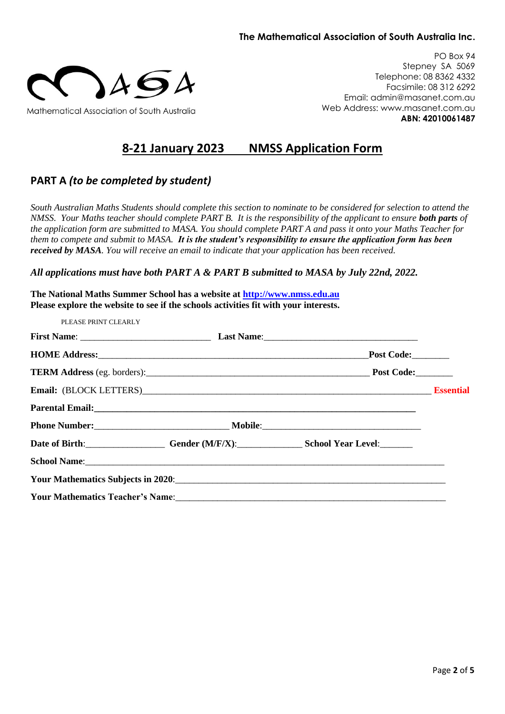### **The Mathematical Association of South Australia Inc.**



PO Box 94 Stepney SA 5069 Telephone: 08 8362 4332 Facsimile: 08 312 6292 Email: admin@masanet.com.au Web Address: www.masanet.com.au **ABN: 42010061487**

## **8-21 January 2023 NMSS Application Form**

## **PART A** *(to be completed by student)*

*South Australian Maths Students should complete this section to nominate to be considered for selection to attend the NMSS. Your Maths teacher should complete PART B. It is the responsibility of the applicant to ensure both parts of the application form are submitted to MASA. You should complete PART A and pass it onto your Maths Teacher for them to compete and submit to MASA. It is the student's responsibility to ensure the application form has been received by MASA. You will receive an email to indicate that your application has been received.*

*All applications must have both PART A & PART B submitted to MASA by July 22nd, 2022.*

**The National Maths Summer School has a website at [http://www.nmss.edu.au](http://www.nmss.edu.au/) Please explore the website to see if the schools activities fit with your interests.**

| PLEASE PRINT CLEARLY |                                                   |  |
|----------------------|---------------------------------------------------|--|
|                      |                                                   |  |
|                      | HOME Address: Post Code:                          |  |
|                      |                                                   |  |
|                      | Email: (BLOCK LETTERS) Essential                  |  |
|                      |                                                   |  |
|                      |                                                   |  |
|                      | Date of Birth: Gender (M/F/X): School Year Level: |  |
|                      |                                                   |  |
|                      |                                                   |  |
|                      |                                                   |  |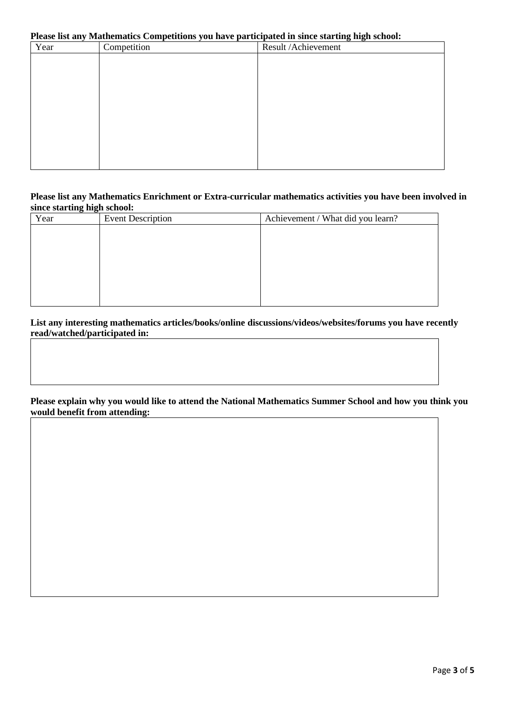### **Please list any Mathematics Competitions you have participated in since starting high school:**

| Year | Competition | Result /Achievement |
|------|-------------|---------------------|
|      |             |                     |
|      |             |                     |
|      |             |                     |
|      |             |                     |
|      |             |                     |
|      |             |                     |
|      |             |                     |
|      |             |                     |
|      |             |                     |
|      |             |                     |

#### **Please list any Mathematics Enrichment or Extra-curricular mathematics activities you have been involved in since starting high school:**

| Year | <b>Event Description</b> | Achievement / What did you learn? |
|------|--------------------------|-----------------------------------|
|      |                          |                                   |
|      |                          |                                   |
|      |                          |                                   |
|      |                          |                                   |
|      |                          |                                   |
|      |                          |                                   |
|      |                          |                                   |

**List any interesting mathematics articles/books/online discussions/videos/websites/forums you have recently read/watched/participated in:**

#### **Please explain why you would like to attend the National Mathematics Summer School and how you think you would benefit from attending:**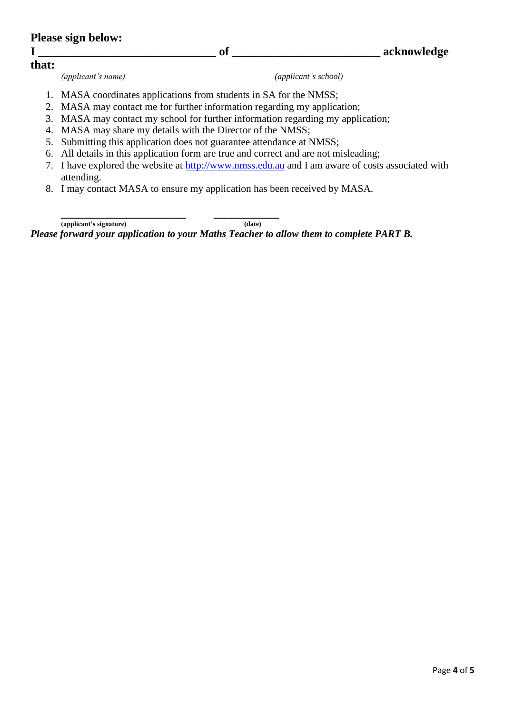| <b>Please sign below:</b> |                      |             |
|---------------------------|----------------------|-------------|
|                           | of                   | acknowledge |
| that:                     |                      |             |
| (applicant's name)        | (applicant's school) |             |

- 1. MASA coordinates applications from students in SA for the NMSS;
- 2. MASA may contact me for further information regarding my application;
- 3. MASA may contact my school for further information regarding my application;
- 4. MASA may share my details with the Director of the NMSS;
- 5. Submitting this application does not guarantee attendance at NMSS;
- 6. All details in this application form are true and correct and are not misleading;
- 7. I have explored the website at [http://www.nmss.edu.au](http://www.nmss.edu.au/) and I am aware of costs associated with attending.
- 8. I may contact MASA to ensure my application has been received by MASA.

**\_\_\_\_\_\_\_\_\_\_\_\_\_\_\_\_\_\_\_\_\_ \_\_\_\_\_\_\_\_\_\_\_ (applicant's signature) (date)**

*Please forward your application to your Maths Teacher to allow them to complete PART B.*